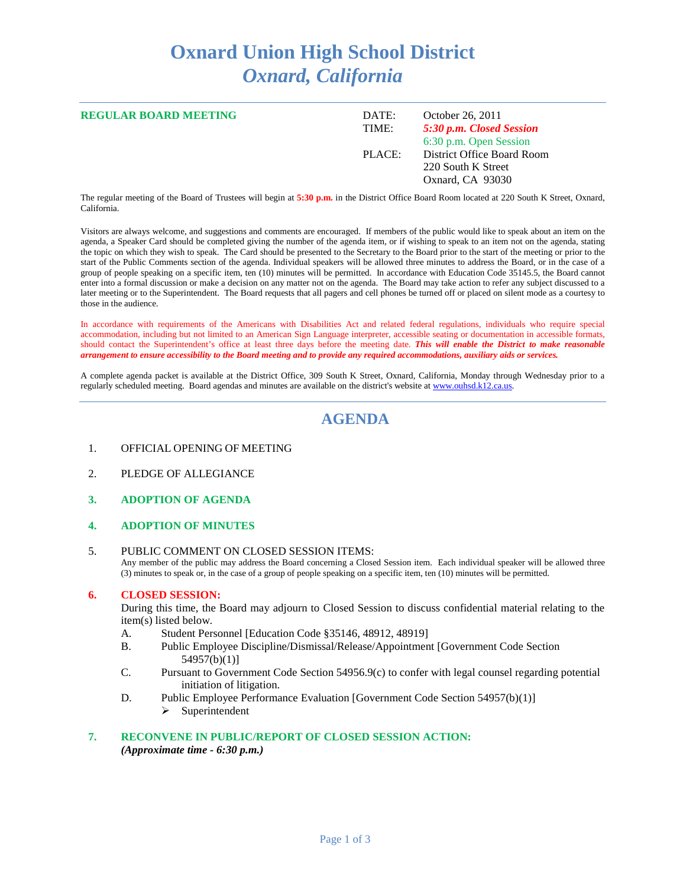# **Oxnard Union High School District** *Oxnard, California*

| <b>REGULAR BOARD MEETING</b> | DATE:<br>TIME: | October 26, 2011<br>5:30 p.m. Closed Session<br>6:30 p.m. Open Session |
|------------------------------|----------------|------------------------------------------------------------------------|
|                              | PLACE:         | District Office Board Room<br>220 South K Street<br>Oxnard, CA 93030   |

The regular meeting of the Board of Trustees will begin at **5:30 p.m.** in the District Office Board Room located at 220 South K Street, Oxnard, California.

Visitors are always welcome, and suggestions and comments are encouraged. If members of the public would like to speak about an item on the agenda, a Speaker Card should be completed giving the number of the agenda item, or if wishing to speak to an item not on the agenda, stating the topic on which they wish to speak. The Card should be presented to the Secretary to the Board prior to the start of the meeting or prior to the start of the Public Comments section of the agenda. Individual speakers will be allowed three minutes to address the Board, or in the case of a group of people speaking on a specific item, ten (10) minutes will be permitted. In accordance with Education Code 35145.5, the Board cannot enter into a formal discussion or make a decision on any matter not on the agenda. The Board may take action to refer any subject discussed to a later meeting or to the Superintendent. The Board requests that all pagers and cell phones be turned off or placed on silent mode as a courtesy to those in the audience.

In accordance with requirements of the Americans with Disabilities Act and related federal regulations, individuals who require special accommodation, including but not limited to an American Sign Language interpreter, accessible seating or documentation in accessible formats, should contact the Superintendent's office at least three days before the meeting date. *This will enable the District to make reasonable arrangement to ensure accessibility to the Board meeting and to provide any required accommodations, auxiliary aids or services.*

A complete agenda packet is available at the District Office, 309 South K Street, Oxnard, California, Monday through Wednesday prior to a regularly scheduled meeting. Board agendas and minutes are available on the district's website a[t www.ouhsd.k12.ca.us.](http://www.ouhsd.k12.ca.us/)

# **AGENDA**

- 1. OFFICIAL OPENING OF MEETING
- 2. PLEDGE OF ALLEGIANCE
- **3. ADOPTION OF AGENDA**
- **4. ADOPTION OF MINUTES**
- 5. PUBLIC COMMENT ON CLOSED SESSION ITEMS: Any member of the public may address the Board concerning a Closed Session item. Each individual speaker will be allowed three (3) minutes to speak or, in the case of a group of people speaking on a specific item, ten (10) minutes will be permitted.

# **6. CLOSED SESSION:**

During this time, the Board may adjourn to Closed Session to discuss confidential material relating to the item(s) listed below.

- A. Student Personnel [Education Code §35146, 48912, 48919]
- B. Public Employee Discipline/Dismissal/Release/Appointment [Government Code Section 54957(b)(1)]
- C. Pursuant to Government Code Section 54956.9(c) to confer with legal counsel regarding potential initiation of litigation.
- D. Public Employee Performance Evaluation [Government Code Section 54957(b)(1)]
	- $\triangleright$  Superintendent

#### **7. RECONVENE IN PUBLIC/REPORT OF CLOSED SESSION ACTION:** *(Approximate time - 6:30 p.m.)*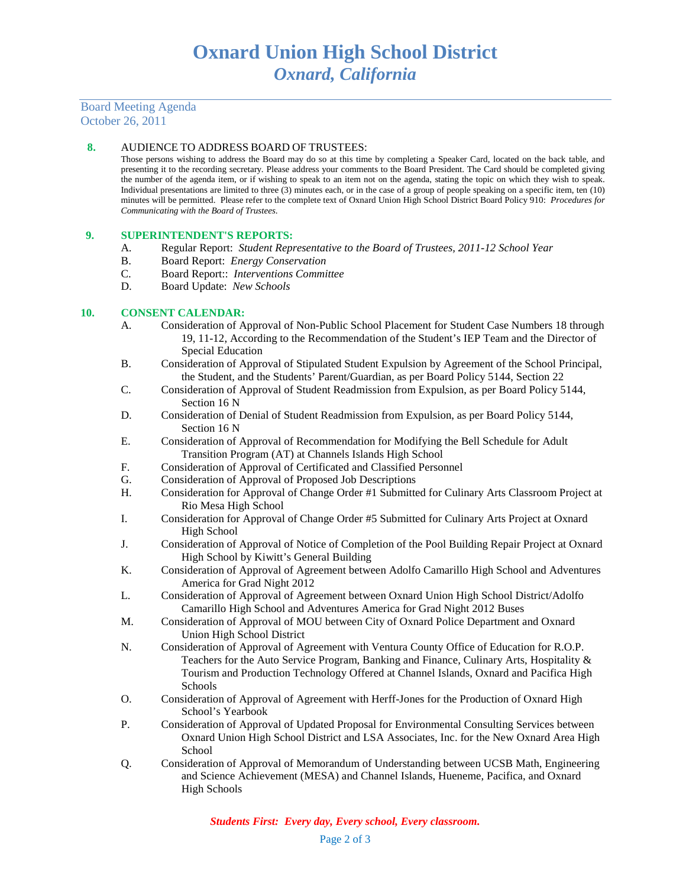Board Meeting Agenda October 26, 2011

### **8.** AUDIENCE TO ADDRESS BOARD OF TRUSTEES:

Those persons wishing to address the Board may do so at this time by completing a Speaker Card, located on the back table, and presenting it to the recording secretary. Please address your comments to the Board President. The Card should be completed giving the number of the agenda item, or if wishing to speak to an item not on the agenda, stating the topic on which they wish to speak. Individual presentations are limited to three (3) minutes each, or in the case of a group of people speaking on a specific item, ten (10) minutes will be permitted. Please refer to the complete text of Oxnard Union High School District Board Policy 910: *Procedures for Communicating with the Board of Trustees*.

#### **9. SUPERINTENDENT'S REPORTS:**

- A. Regular Report: *Student Representative to the Board of Trustees, 2011-12 School Year*
- B. Board Report: *Energy Conservation*
- Board Report:: *Interventions Committee*
- D. Board Update: *New Schools*

#### **10. CONSENT CALENDAR:**

- A. Consideration of Approval of Non-Public School Placement for Student Case Numbers 18 through 19, 11-12, According to the Recommendation of the Student's IEP Team and the Director of Special Education
- B. Consideration of Approval of Stipulated Student Expulsion by Agreement of the School Principal, the Student, and the Students' Parent/Guardian, as per Board Policy 5144, Section 22
- C. Consideration of Approval of Student Readmission from Expulsion, as per Board Policy 5144, Section 16 N
- D. Consideration of Denial of Student Readmission from Expulsion, as per Board Policy 5144, Section 16 N
- E. Consideration of Approval of Recommendation for Modifying the Bell Schedule for Adult Transition Program (AT) at Channels Islands High School
- F. Consideration of Approval of Certificated and Classified Personnel
- G. Consideration of Approval of Proposed Job Descriptions
- H. Consideration for Approval of Change Order #1 Submitted for Culinary Arts Classroom Project at Rio Mesa High School
- I. Consideration for Approval of Change Order #5 Submitted for Culinary Arts Project at Oxnard High School
- J. Consideration of Approval of Notice of Completion of the Pool Building Repair Project at Oxnard High School by Kiwitt's General Building
- K. Consideration of Approval of Agreement between Adolfo Camarillo High School and Adventures America for Grad Night 2012
- L. Consideration of Approval of Agreement between Oxnard Union High School District/Adolfo Camarillo High School and Adventures America for Grad Night 2012 Buses
- M. Consideration of Approval of MOU between City of Oxnard Police Department and Oxnard Union High School District
- N. Consideration of Approval of Agreement with Ventura County Office of Education for R.O.P. Teachers for the Auto Service Program, Banking and Finance, Culinary Arts, Hospitality & Tourism and Production Technology Offered at Channel Islands, Oxnard and Pacifica High Schools
- O. Consideration of Approval of Agreement with Herff-Jones for the Production of Oxnard High School's Yearbook
- P. Consideration of Approval of Updated Proposal for Environmental Consulting Services between Oxnard Union High School District and LSA Associates, Inc. for the New Oxnard Area High School
- Q. Consideration of Approval of Memorandum of Understanding between UCSB Math, Engineering and Science Achievement (MESA) and Channel Islands, Hueneme, Pacifica, and Oxnard High Schools

*Students First: Every day, Every school, Every classroom.*